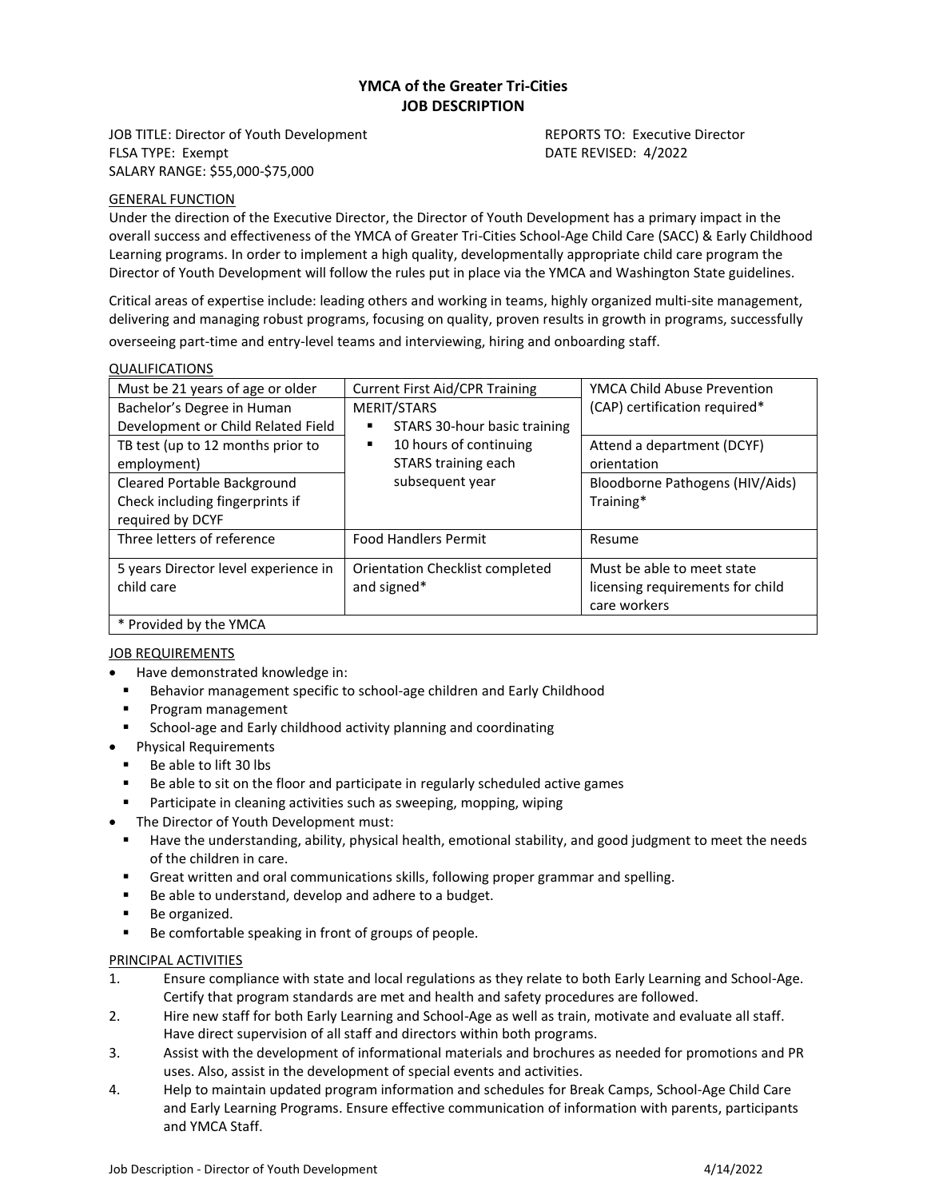# **YMCA of the Greater Tri-Cities JOB DESCRIPTION**

JOB TITLE: Director of Youth Development Reports TO: Executive Director FLSA TYPE: Exempt **DATE REVISED: 4/2022** SALARY RANGE: \$55,000-\$75,000

## GENERAL FUNCTION

Under the direction of the Executive Director, the Director of Youth Development has a primary impact in the overall success and effectiveness of the YMCA of Greater Tri-Cities School-Age Child Care (SACC) & Early Childhood Learning programs. In order to implement a high quality, developmentally appropriate child care program the Director of Youth Development will follow the rules put in place via the YMCA and Washington State guidelines.

Critical areas of expertise include: leading others and working in teams, highly organized multi-site management, delivering and managing robust programs, focusing on quality, proven results in growth in programs, successfully overseeing part-time and entry-level teams and interviewing, hiring and onboarding staff.

| Must be 21 years of age or older                                                   | <b>Current First Aid/CPR Training</b>                                                                                     | YMCA Child Abuse Prevention                                                    |
|------------------------------------------------------------------------------------|---------------------------------------------------------------------------------------------------------------------------|--------------------------------------------------------------------------------|
| Bachelor's Degree in Human<br>Development or Child Related Field                   | MERIT/STARS<br>STARS 30-hour basic training<br>٠<br>10 hours of continuing<br>٠<br>STARS training each<br>subsequent year | (CAP) certification required*                                                  |
| TB test (up to 12 months prior to<br>employment)                                   |                                                                                                                           | Attend a department (DCYF)<br>orientation                                      |
| Cleared Portable Background<br>Check including fingerprints if<br>required by DCYF |                                                                                                                           | Bloodborne Pathogens (HIV/Aids)<br>Training*                                   |
| Three letters of reference                                                         | <b>Food Handlers Permit</b>                                                                                               | Resume                                                                         |
| 5 years Director level experience in<br>child care                                 | Orientation Checklist completed<br>and signed*                                                                            | Must be able to meet state<br>licensing requirements for child<br>care workers |
| * Provided by the YMCA                                                             |                                                                                                                           |                                                                                |

## **JOB REQUIREMENTS**

- Have demonstrated knowledge in:
- Behavior management specific to school-age children and Early Childhood
- Program management
- School-age and Early childhood activity planning and coordinating
- Physical Requirements
- Be able to lift 30 lbs
- Be able to sit on the floor and participate in regularly scheduled active games
- Participate in cleaning activities such as sweeping, mopping, wiping
- The Director of Youth Development must:
- Have the understanding, ability, physical health, emotional stability, and good judgment to meet the needs of the children in care.
- **•** Great written and oral communications skills, following proper grammar and spelling.
- Be able to understand, develop and adhere to a budget.
- Be organized.
- Be comfortable speaking in front of groups of people.

## PRINCIPAL ACTIVITIES

- 1. Ensure compliance with state and local regulations as they relate to both Early Learning and School-Age. Certify that program standards are met and health and safety procedures are followed.
- 2. Hire new staff for both Early Learning and School-Age as well as train, motivate and evaluate all staff. Have direct supervision of all staff and directors within both programs.
- 3. Assist with the development of informational materials and brochures as needed for promotions and PR uses. Also, assist in the development of special events and activities.
- 4. Help to maintain updated program information and schedules for Break Camps, School-Age Child Care and Early Learning Programs. Ensure effective communication of information with parents, participants and YMCA Staff.